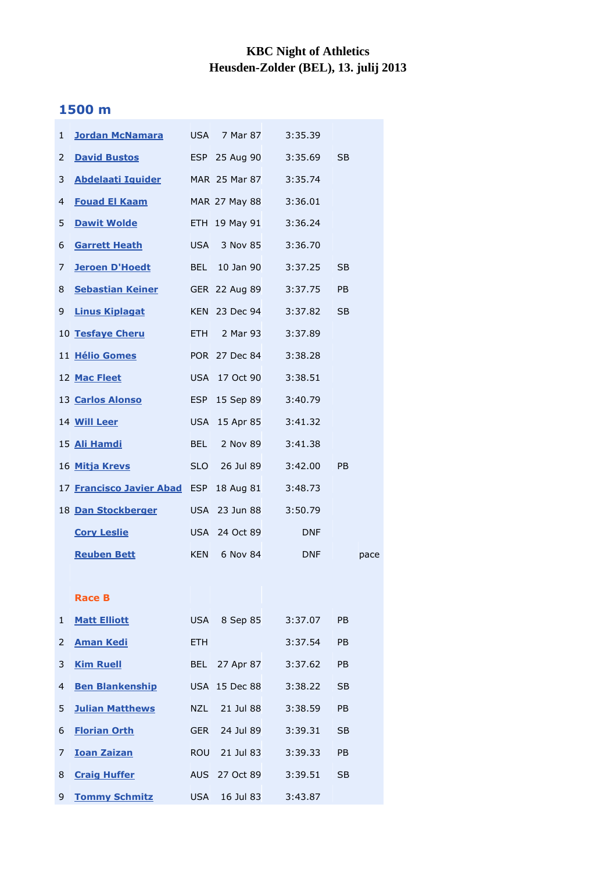## **KBC Night of Athletics Heusden-Zolder (BEL), 13. julij 2013**

## **1500 m**

| $\mathbf{1}$ | <u>Jordan McNamara</u>                |            | USA 7 Mar 87  | 3:35.39    |                |      |
|--------------|---------------------------------------|------------|---------------|------------|----------------|------|
| 2            | <b>David Bustos</b>                   |            | ESP 25 Aug 90 | 3:35.69    | <b>SB</b>      |      |
| 3            | <b>Abdelaati Iguider</b>              |            | MAR 25 Mar 87 | 3:35.74    |                |      |
| 4            | <b>Fouad El Kaam</b>                  |            | MAR 27 May 88 | 3:36.01    |                |      |
| 5            | <b>Dawit Wolde</b>                    |            | ETH 19 May 91 | 3:36.24    |                |      |
| 6            | <u>Garrett Heath</u>                  |            | USA 3 Nov 85  | 3:36.70    |                |      |
| 7            | <b>Jeroen D'Hoedt</b>                 |            | BEL 10 Jan 90 | 3:37.25    | <b>SB</b>      |      |
| 8            | <b>Sebastian Keiner</b> GER 22 Aug 89 |            |               | 3:37.75    | <b>PB</b>      |      |
| 9            | <b>Linus Kiplagat</b>                 |            | KEN 23 Dec 94 | 3:37.82    | <b>SB</b>      |      |
|              | 10 Tesfaye Cheru                      |            | ETH 2 Mar 93  | 3:37.89    |                |      |
|              | 11 Hélio Gomes                        |            | POR 27 Dec 84 | 3:38.28    |                |      |
|              | 12 Mac Fleet                          |            | USA 17 Oct 90 | 3:38.51    |                |      |
|              | 13 Carlos Alonso                      | <b>ESP</b> | 15 Sep 89     | 3:40.79    |                |      |
|              | 14 Will Leer                          |            | USA 15 Apr 85 | 3:41.32    |                |      |
|              | 15 Ali Hamdi                          | <b>BEL</b> | 2 Nov 89      | 3:41.38    |                |      |
|              | 16 Mitja Krevs                        | <b>SLO</b> | 26 Jul 89     | 3:42.00    | P <sub>B</sub> |      |
|              | 17 Francisco Javier Abad ESP          |            | 18 Aug 81     | 3:48.73    |                |      |
|              | 18 Dan Stockberger                    |            | USA 23 Jun 88 | 3:50.79    |                |      |
|              | <b>Cory Leslie</b>                    |            | USA 24 Oct 89 | <b>DNF</b> |                |      |
|              | <b>Reuben Bett</b>                    | <b>KEN</b> | 6 Nov 84      | <b>DNF</b> |                | pace |
|              |                                       |            |               |            |                |      |
|              | <b>Race B</b>                         |            |               |            |                |      |
| $\mathbf{1}$ | <b>Matt Elliott</b>                   |            | USA 8 Sep 85  | 3:37.07    | <b>PB</b>      |      |
| $\mathbf{2}$ | <b>Aman Kedi</b>                      | <b>ETH</b> |               | 3:37.54    | PB             |      |
| 3            | <b>Kim Ruell</b>                      |            | BEL 27 Apr 87 | 3:37.62    | PB             |      |
| 4            | <b>Ben Blankenship</b>                |            | USA 15 Dec 88 | 3:38.22    | <b>SB</b>      |      |
| 5            | <b>Julian Matthews</b>                | NZL        | 21 Jul 88     | 3:38.59    | PB             |      |
| 6            | <b>Florian Orth</b>                   | <b>GER</b> | 24 Jul 89     | 3:39.31    | <b>SB</b>      |      |
| 7            | <b>Ioan Zaizan</b>                    | ROU        | 21 Jul 83     | 3:39.33    | <b>PB</b>      |      |
| 8            | <b>Craig Huffer</b>                   |            | AUS 27 Oct 89 | 3:39.51    | <b>SB</b>      |      |
| 9            | <b>Tommy Schmitz</b>                  | <b>USA</b> | 16 Jul 83     | 3:43.87    |                |      |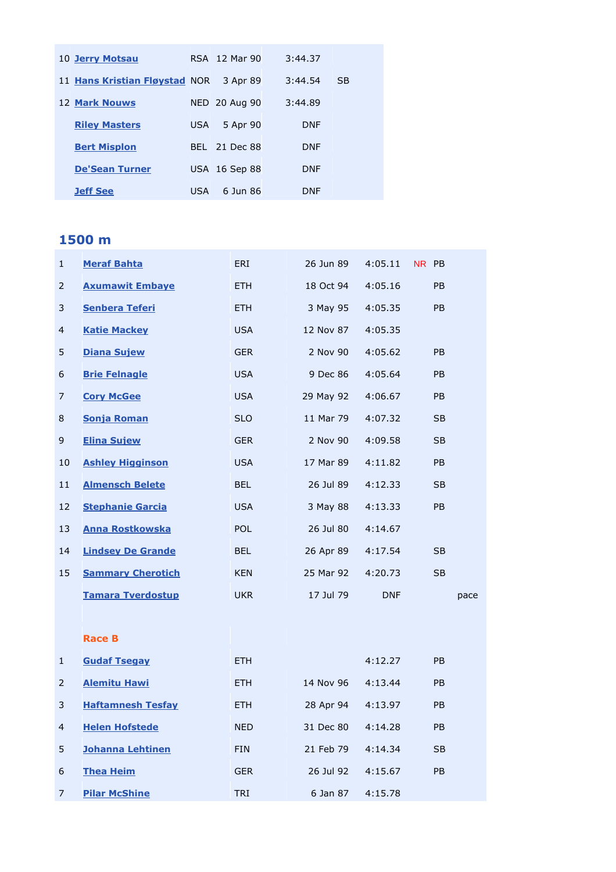| 10 Jerry Motsau               |      | RSA 12 Mar 90 | 3:44.37    |           |
|-------------------------------|------|---------------|------------|-----------|
| 11 Hans Kristian Fløystad NOR |      | 3 Apr 89      | 3:44.54    | <b>SB</b> |
| <b>12 Mark Nouws</b>          |      | NED 20 Aug 90 | 3:44.89    |           |
| <b>Riley Masters</b>          | USA. | 5 Apr 90      | <b>DNF</b> |           |
| <b>Bert Misplon</b>           |      | BEL 21 Dec 88 | <b>DNF</b> |           |
| <b>De'Sean Turner</b>         |      | USA 16 Sep 88 | <b>DNF</b> |           |
| <b>Jeff See</b>               | USA  | 6 Jun 86      | <b>DNF</b> |           |

## **1500 m**

| $\mathbf{1}$ | <b>Meraf Bahta</b>       | ERI        | 26 Jun 89 | 4:05.11    | NR PB     |      |
|--------------|--------------------------|------------|-----------|------------|-----------|------|
| 2            | <b>Axumawit Embave</b>   | <b>ETH</b> | 18 Oct 94 | 4:05.16    | PB        |      |
| 3            | <b>Senbera Teferi</b>    | <b>ETH</b> | 3 May 95  | 4:05.35    | PB        |      |
| 4            | <b>Katie Mackey</b>      | <b>USA</b> | 12 Nov 87 | 4:05.35    |           |      |
| 5            | <b>Diana Sujew</b>       | <b>GER</b> | 2 Nov 90  | 4:05.62    | PB        |      |
| 6            | <b>Brie Felnagle</b>     | <b>USA</b> | 9 Dec 86  | 4:05.64    | <b>PB</b> |      |
| 7            | <b>Cory McGee</b>        | <b>USA</b> | 29 May 92 | 4:06.67    | PB        |      |
| 8            | <b>Sonja Roman</b>       | <b>SLO</b> | 11 Mar 79 | 4:07.32    | <b>SB</b> |      |
| 9            | <b>Elina Sujew</b>       | <b>GER</b> | 2 Nov 90  | 4:09.58    | <b>SB</b> |      |
| 10           | <b>Ashley Higginson</b>  | <b>USA</b> | 17 Mar 89 | 4:11.82    | PB        |      |
| 11           | <b>Almensch Belete</b>   | <b>BEL</b> | 26 Jul 89 | 4:12.33    | <b>SB</b> |      |
| 12           | <b>Stephanie Garcia</b>  | <b>USA</b> | 3 May 88  | 4:13.33    | PB        |      |
| 13           | <b>Anna Rostkowska</b>   | <b>POL</b> | 26 Jul 80 | 4:14.67    |           |      |
| 14           | <b>Lindsey De Grande</b> | <b>BEL</b> | 26 Apr 89 | 4:17.54    | <b>SB</b> |      |
| 15           | <b>Sammary Cherotich</b> | <b>KEN</b> | 25 Mar 92 | 4:20.73    | <b>SB</b> |      |
|              | <b>Tamara Tverdostup</b> | <b>UKR</b> | 17 Jul 79 | <b>DNF</b> |           | pace |
|              |                          |            |           |            |           |      |
|              | <b>Race B</b>            |            |           |            |           |      |
| $\mathbf{1}$ | <b>Gudaf Tsegay</b>      | <b>ETH</b> |           | 4:12.27    | PB        |      |
| 2            | <b>Alemitu Hawi</b>      | <b>ETH</b> | 14 Nov 96 | 4:13.44    | <b>PB</b> |      |
| 3            | <b>Haftamnesh Tesfay</b> | <b>ETH</b> | 28 Apr 94 | 4:13.97    | <b>PB</b> |      |
| 4            | <b>Helen Hofstede</b>    | <b>NED</b> | 31 Dec 80 | 4:14.28    | <b>PB</b> |      |
| 5            | <b>Johanna Lehtinen</b>  | <b>FIN</b> | 21 Feb 79 | 4:14.34    | <b>SB</b> |      |
| 6            | <b>Thea Heim</b>         | <b>GER</b> | 26 Jul 92 | 4:15.67    | PB        |      |
| 7            | <b>Pilar McShine</b>     | <b>TRI</b> | 6 Jan 87  | 4:15.78    |           |      |
|              |                          |            |           |            |           |      |